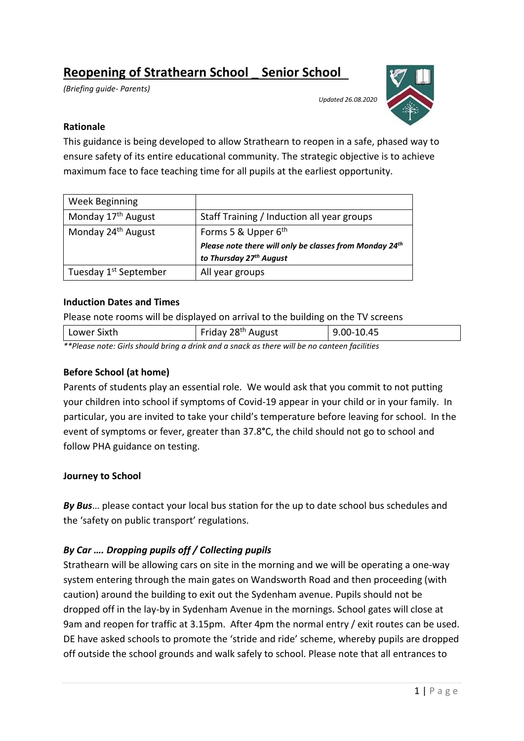# **Reopening of Strathearn School \_ Senior School**

*(Briefing guide- Parents)*

*Updated 26.08.2020*

## **Rationale**

This guidance is being developed to allow Strathearn to reopen in a safe, phased way to ensure safety of its entire educational community. The strategic objective is to achieve maximum face to face teaching time for all pupils at the earliest opportunity.

| <b>Week Beginning</b>             |                                                                                                        |  |
|-----------------------------------|--------------------------------------------------------------------------------------------------------|--|
| Monday 17 <sup>th</sup> August    | Staff Training / Induction all year groups                                                             |  |
| Monday 24 <sup>th</sup> August    | Forms 5 & Upper 6 <sup>th</sup><br>Please note there will only be classes from Monday 24 <sup>th</sup> |  |
|                                   |                                                                                                        |  |
|                                   | to Thursday 27 <sup>th</sup> August                                                                    |  |
| Tuesday 1 <sup>st</sup> September | All year groups                                                                                        |  |

#### **Induction Dates and Times**

Please note rooms will be displayed on arrival to the building on the TV screens

| Lower Sixth | Friday 28 <sup>th</sup> August | 9.00-10.45 |
|-------------|--------------------------------|------------|
| .<br>.      | .                              |            |

*\*\*Please note: Girls should bring a drink and a snack as there will be no canteen facilities*

#### **Before School (at home)**

Parents of students play an essential role. We would ask that you commit to not putting your children into school if symptoms of Covid-19 appear in your child or in your family. In particular, you are invited to take your child's temperature before leaving for school. In the event of symptoms or fever, greater than 37.8**°**C, the child should not go to school and follow PHA guidance on testing.

# **Journey to School**

*By Bus*… please contact your local bus station for the up to date school bus schedules and the 'safety on public transport' regulations.

# *By Car …. Dropping pupils off / Collecting pupils*

Strathearn will be allowing cars on site in the morning and we will be operating a one-way system entering through the main gates on Wandsworth Road and then proceeding (with caution) around the building to exit out the Sydenham avenue. Pupils should not be dropped off in the lay-by in Sydenham Avenue in the mornings. School gates will close at 9am and reopen for traffic at 3.15pm. After 4pm the normal entry / exit routes can be used. DE have asked schools to promote the 'stride and ride' scheme, whereby pupils are dropped off outside the school grounds and walk safely to school. Please note that all entrances to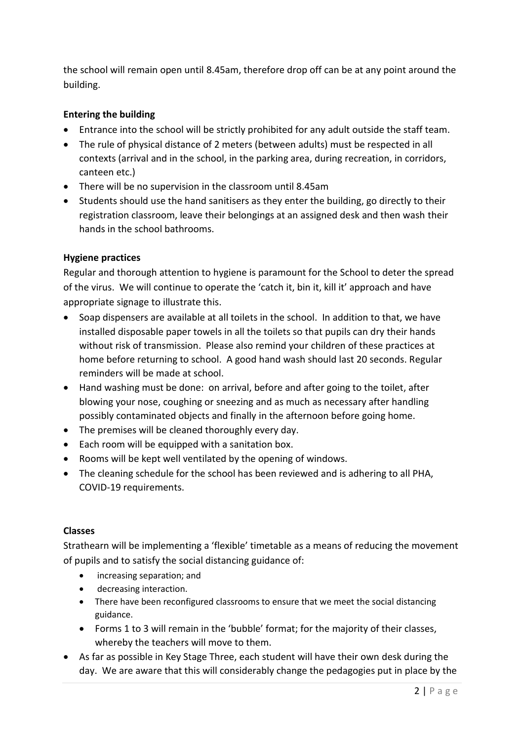the school will remain open until 8.45am, therefore drop off can be at any point around the building.

# **Entering the building**

- Entrance into the school will be strictly prohibited for any adult outside the staff team.
- The rule of physical distance of 2 meters (between adults) must be respected in all contexts (arrival and in the school, in the parking area, during recreation, in corridors, canteen etc.)
- There will be no supervision in the classroom until 8.45am
- Students should use the hand sanitisers as they enter the building, go directly to their registration classroom, leave their belongings at an assigned desk and then wash their hands in the school bathrooms.

# **Hygiene practices**

Regular and thorough attention to hygiene is paramount for the School to deter the spread of the virus. We will continue to operate the 'catch it, bin it, kill it' approach and have appropriate signage to illustrate this.

- Soap dispensers are available at all toilets in the school. In addition to that, we have installed disposable paper towels in all the toilets so that pupils can dry their hands without risk of transmission. Please also remind your children of these practices at home before returning to school. A good hand wash should last 20 seconds. Regular reminders will be made at school.
- Hand washing must be done: on arrival, before and after going to the toilet, after blowing your nose, coughing or sneezing and as much as necessary after handling possibly contaminated objects and finally in the afternoon before going home.
- The premises will be cleaned thoroughly every day.
- Each room will be equipped with a sanitation box.
- Rooms will be kept well ventilated by the opening of windows.
- The cleaning schedule for the school has been reviewed and is adhering to all PHA, COVID-19 requirements.

# **Classes**

Strathearn will be implementing a 'flexible' timetable as a means of reducing the movement of pupils and to satisfy the social distancing guidance of:

- increasing separation; and
- decreasing interaction.
- There have been reconfigured classrooms to ensure that we meet the social distancing guidance.
- Forms 1 to 3 will remain in the 'bubble' format; for the majority of their classes, whereby the teachers will move to them.
- As far as possible in Key Stage Three, each student will have their own desk during the day. We are aware that this will considerably change the pedagogies put in place by the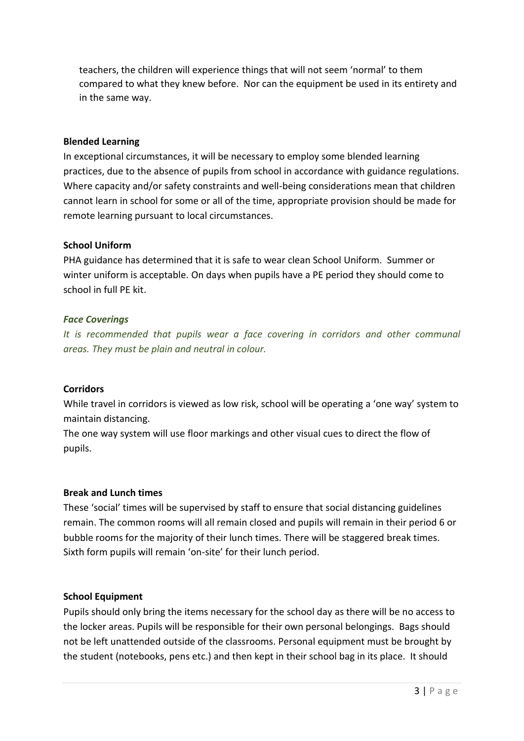teachers, the children will experience things that will not seem 'normal' to them compared to what they knew before. Nor can the equipment be used in its entirety and in the same way.

#### **Blended Learning**

In exceptional circumstances, it will be necessary to employ some blended learning practices, due to the absence of pupils from school in accordance with guidance regulations. Where capacity and/or safety constraints and well-being considerations mean that children cannot learn in school for some or all of the time, appropriate provision should be made for remote learning pursuant to local circumstances.

#### **School Uniform**

PHA guidance has determined that it is safe to wear clean School Uniform. Summer or winter uniform is acceptable. On days when pupils have a PE period they should come to school in full PE kit.

#### *Face Coverings*

*It is recommended that pupils wear a face covering in corridors and other communal areas. They must be plain and neutral in colour.*

#### **Corridors**

While travel in corridors is viewed as low risk, school will be operating a 'one way' system to maintain distancing.

The one way system will use floor markings and other visual cues to direct the flow of pupils.

#### **Break and Lunch times**

These 'social' times will be supervised by staff to ensure that social distancing guidelines remain. The common rooms will all remain closed and pupils will remain in their period 6 or bubble rooms for the majority of their lunch times. There will be staggered break times. Sixth form pupils will remain 'on-site' for their lunch period.

#### **School Equipment**

Pupils should only bring the items necessary for the school day as there will be no access to the locker areas. Pupils will be responsible for their own personal belongings. Bags should not be left unattended outside of the classrooms. Personal equipment must be brought by the student (notebooks, pens etc.) and then kept in their school bag in its place. It should